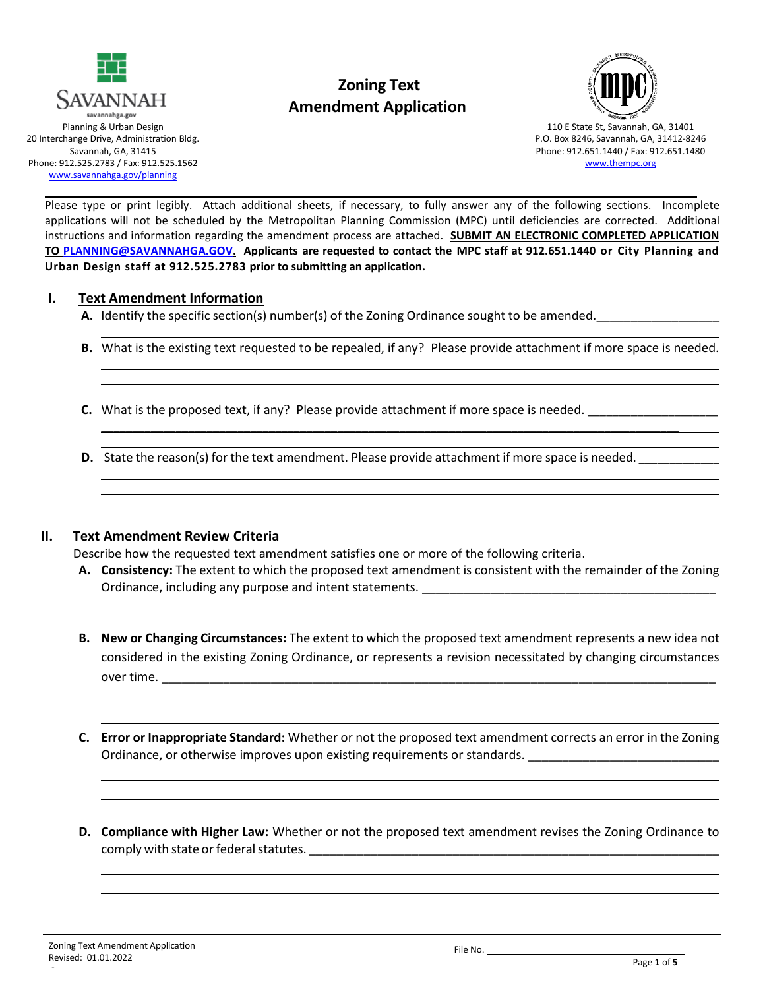

# **Zoning Text Amendment Application**



110 E State St, Savannah, GA, 31401 P.O. Box 8246, Savannah, GA, 31412-8246 Phone: 912.651.1440 / Fax: 912.651.1480 [www.thempc.org](http://www.thempc.org/)

Please type or print legibly. Attach additional sheets, if necessary, to fully answer any of the following sections. Incomplete applications will not be scheduled by the Metropolitan Planning Commission (MPC) until deficiencies are corrected. Additional instructions and information regarding the amendment process are attached. **SUBMIT AN ELECTRONIC COMPLETED APPLICATION TO [PLANNING@SAVANNAHGA.GOV.](mailto:PLANNING@SAVANNAHGA.GOV) Applicants are requested to contact the MPC staff at 912.651.1440 or City Planning and Urban Design staff at 912.525.2783 prior to submitting an application.**

#### **I. Text Amendment Information**

**A.** Identify the specific section(s) number(s) of the Zoning Ordinance sought to be amended.

**B.** What is the existing text requested to be repealed, if any? Please provide attachment if more space is needed.

 $\mathcal{L}_\mathcal{L} = \{ \mathcal{L}_\mathcal{L} = \{ \mathcal{L}_\mathcal{L} = \{ \mathcal{L}_\mathcal{L} = \{ \mathcal{L}_\mathcal{L} = \{ \mathcal{L}_\mathcal{L} = \{ \mathcal{L}_\mathcal{L} = \{ \mathcal{L}_\mathcal{L} = \{ \mathcal{L}_\mathcal{L} = \{ \mathcal{L}_\mathcal{L} = \{ \mathcal{L}_\mathcal{L} = \{ \mathcal{L}_\mathcal{L} = \{ \mathcal{L}_\mathcal{L} = \{ \mathcal{L}_\mathcal{L} = \{ \mathcal{L}_\mathcal{$ 

- **C.** What is the proposed text, if any? Please provide attachment if more space is needed.
- **D.** State the reason(s) for the text amendment. Please provide attachment if more space is needed.

#### **II. Text Amendment Review Criteria**

Describe how the requested text amendment satisfies one or more of the following criteria.

- **A. Consistency:** The extent to which the proposed text amendment is consistent with the remainder of the Zoning Ordinance, including any purpose and intent statements. \_\_\_\_\_\_\_\_\_\_\_\_\_\_\_\_\_\_\_\_\_\_\_\_\_
- **B. New or Changing Circumstances:** The extent to which the proposed text amendment represents a new idea not considered in the existing Zoning Ordinance, or represents a revision necessitated by changing circumstances over time. \_\_\_\_\_\_\_\_\_\_\_\_\_\_\_\_\_\_\_\_\_\_\_\_\_\_\_\_\_\_\_\_\_\_\_\_\_\_\_\_\_\_\_\_\_\_\_\_\_\_\_\_\_\_\_\_\_\_\_\_\_\_\_\_\_\_\_\_\_\_\_\_\_\_\_\_\_\_\_\_\_
- **C. Error or Inappropriate Standard:** Whether or not the proposed text amendment corrects an error in the Zoning Ordinance, or otherwise improves upon existing requirements or standards.
- **D. Compliance with Higher Law:** Whether or not the proposed text amendment revises the Zoning Ordinance to comply with state or federal statutes.  $\blacksquare$

6

File No.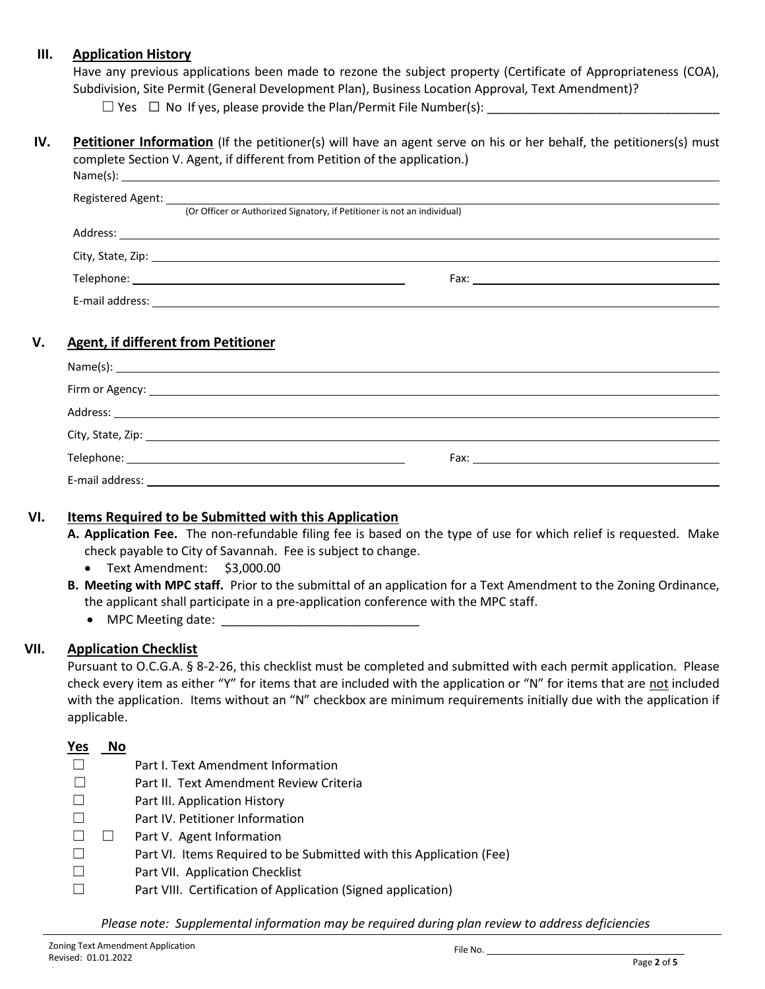#### **III. Application History**

Have any previous applications been made to rezone the subject property (Certificate of Appropriateness (COA), Subdivision, Site Permit (General Development Plan), Business Location Approval, Text Amendment)?

 $\Box$  Yes  $\Box$  No If yes, please provide the Plan/Permit File Number(s):

#### **IV.** Petitioner Information (If the petitioner(s) will have an agent serve on his or her behalf, the petitioners(s) must complete Section V. Agent, if different from Petition of the application.) Name(s):

| (Or Officer or Authorized Signatory, if Petitioner is not an individual) |
|--------------------------------------------------------------------------|
|                                                                          |
|                                                                          |
|                                                                          |
|                                                                          |
|                                                                          |

### **V. Agent, if different from Petitioner**

|                                                                                                                                                                                                                                | $Name(s): \n\overline{\phantom{a}}$                                                                                                                                                                                                 |  |
|--------------------------------------------------------------------------------------------------------------------------------------------------------------------------------------------------------------------------------|-------------------------------------------------------------------------------------------------------------------------------------------------------------------------------------------------------------------------------------|--|
|                                                                                                                                                                                                                                |                                                                                                                                                                                                                                     |  |
|                                                                                                                                                                                                                                | Address: <u>Address:</u> Address: Address: Address: Address: Address: Address: Address: Address: Address: Address: Address: Address: Address: Address: Address: Address: Address: Address: Address: Address: Address: Address: Addr |  |
|                                                                                                                                                                                                                                |                                                                                                                                                                                                                                     |  |
|                                                                                                                                                                                                                                | Fax: $\qquad \qquad$                                                                                                                                                                                                                |  |
| E-mail address: Entrancement of the state of the state of the state of the state of the state of the state of the state of the state of the state of the state of the state of the state of the state of the state of the stat |                                                                                                                                                                                                                                     |  |

#### **VI. Items Required to be Submitted with this Application**

**A. Application Fee.** The non-refundable filing fee is based on the type of use for which relief is requested. Make check payable to City of Savannah. Fee is subject to change.

- Text Amendment: \$3,000.00
- **B. Meeting with MPC staff.** Prior to the submittal of an application for a Text Amendment to the Zoning Ordinance, the applicant shall participate in a pre-application conference with the MPC staff.

• MPC Meeting date:

### **VII. Application Checklist**

Pursuant to O.C.G.A. § 8-2-26, this checklist must be completed and submitted with each permit application. Please check every item as either "Y" for items that are included with the application or "N" for items that are not included with the application. Items without an "N" checkbox are minimum requirements initially due with the application if applicable.

| Yes | No |                                                                     |
|-----|----|---------------------------------------------------------------------|
|     |    | Part I. Text Amendment Information                                  |
|     |    | Part II. Text Amendment Review Criteria                             |
|     |    | Part III. Application History                                       |
|     |    | Part IV. Petitioner Information                                     |
|     |    | Part V. Agent Information                                           |
|     |    | Part VI. Items Required to be Submitted with this Application (Fee) |
|     |    | Part VII. Application Checklist                                     |
|     |    | Part VIII. Certification of Application (Signed application)        |

*Please note: Supplemental information may be required during plan review to address deficiencies*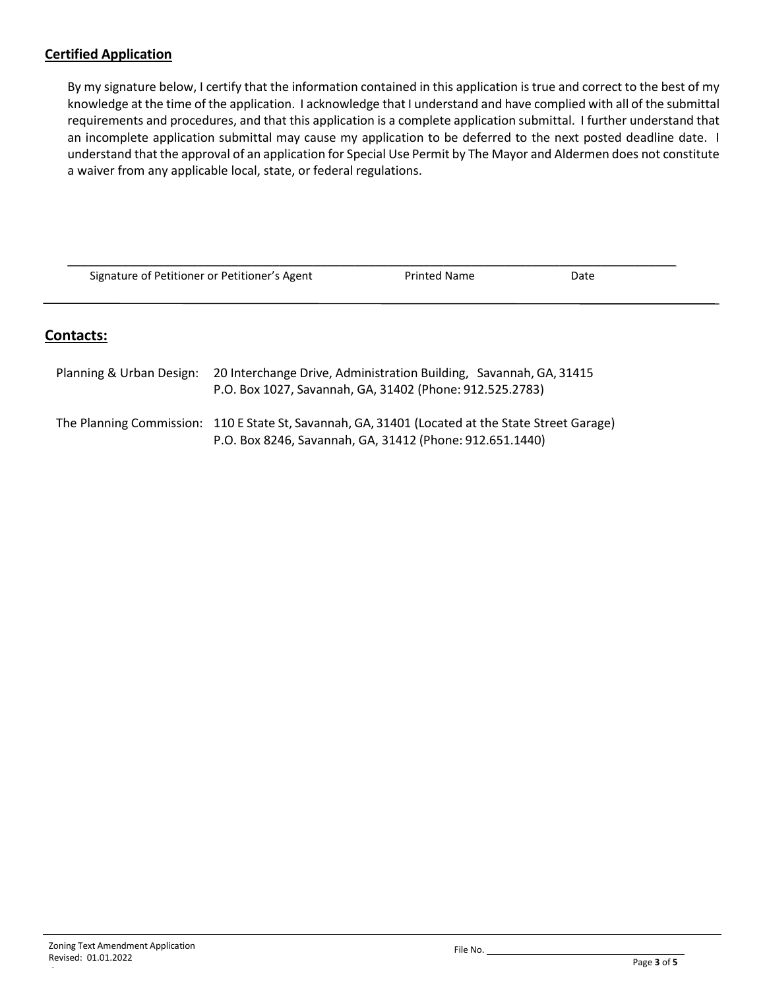### **Certified Application**

By my signature below, I certify that the information contained in this application is true and correct to the best of my knowledge at the time of the application. I acknowledge that I understand and have complied with all of the submittal requirements and procedures, and that this application is a complete application submittal. I further understand that an incomplete application submittal may cause my application to be deferred to the next posted deadline date. I understand that the approval of an application for Special Use Permit by The Mayor and Aldermen does not constitute a waiver from any applicable local, state, or federal regulations.

| Signature of Petitioner or Petitioner's Agent                                                  |  | <b>Printed Name</b>                                      | Date |  |
|------------------------------------------------------------------------------------------------|--|----------------------------------------------------------|------|--|
| <b>Contacts:</b>                                                                               |  |                                                          |      |  |
|                                                                                                |  |                                                          |      |  |
| 20 Interchange Drive, Administration Building, Savannah, GA, 31415<br>Planning & Urban Design: |  |                                                          |      |  |
|                                                                                                |  | P.O. Box 1027, Savannah, GA, 31402 (Phone: 912.525.2783) |      |  |

| The Planning Commission: 110 E State St, Savannah, GA, 31401 (Located at the State Street Garage) |
|---------------------------------------------------------------------------------------------------|
| P.O. Box 8246, Savannah, GA, 31412 (Phone: 912.651.1440)                                          |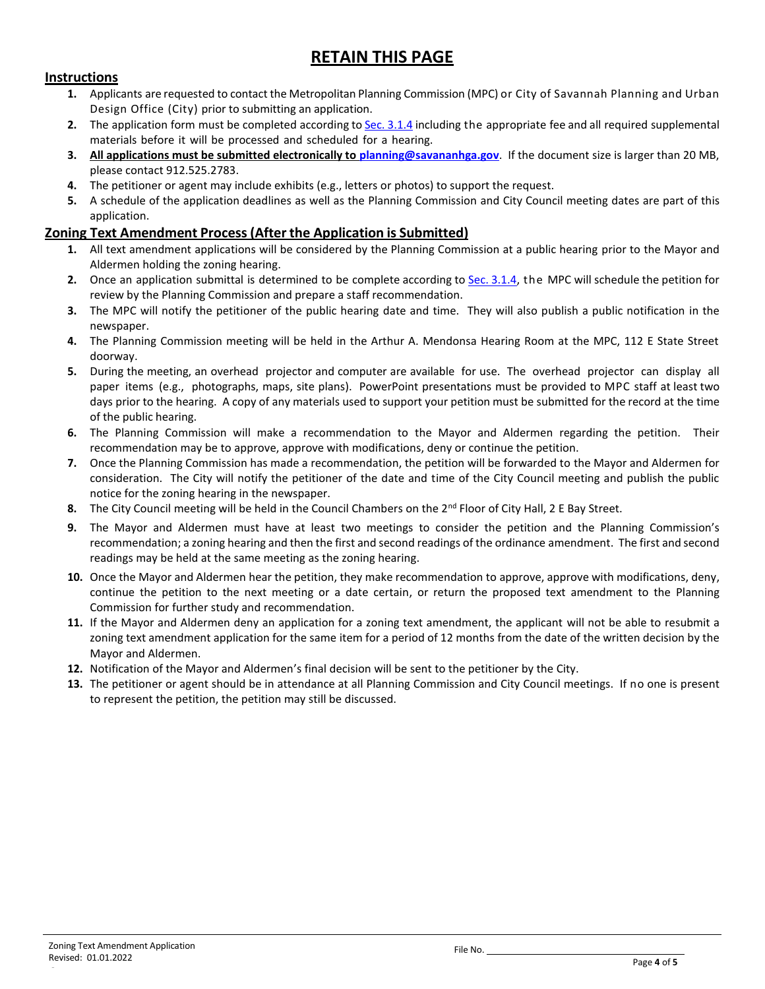# **RETAIN THIS PAGE**

#### **Instructions**

- **1.** Applicants are requested to contact the Metropolitan Planning Commission (MPC) or City of Savannah Planning and Urban Design Office (City) prior to submitting an application.
- **2.** The application form must be completed according t[o Sec. 3.1.4](http://online.encodeplus.com/regs/savannah-ga/doc-viewer.aspx#secid-5100) including the appropriate fee and all required supplemental materials before it will be processed and scheduled for a hearing.
- **3. All applications must be submitted electronically to [planning@savananhga.gov](mailto:planning@savananhga.gov)**. If the document size is larger than 20 MB, please contact 912.525.2783.
- **4.** The petitioner or agent may include exhibits (e.g., letters or photos) to support the request.
- **5.** A schedule of the application deadlines as well as the Planning Commission and City Council meeting dates are part of this application.

#### **Zoning Text Amendment Process(After the Application is Submitted)**

- **1.** All text amendment applications will be considered by the Planning Commission at a public hearing prior to the Mayor and Aldermen holding the zoning hearing.
- **2.** Once an application submittal is determined to be complete according to [Sec. 3.1.4,](http://online.encodeplus.com/regs/savannah-ga/doc-viewer.aspx#secid-5100) the MPC will schedule the petition for review by the Planning Commission and prepare a staff recommendation.
- **3.** The MPC will notify the petitioner of the public hearing date and time. They will also publish a public notification in the newspaper.
- **4.** The Planning Commission meeting will be held in the Arthur A. Mendonsa Hearing Room at the MPC, 112 E State Street doorway.
- **5.** During the meeting, an overhead projector and computer are available for use. The overhead projector can display all paper items (e.g., photographs, maps, site plans). PowerPoint presentations must be provided to MPC staff at least two days prior to the hearing. A copy of any materials used to support your petition must be submitted for the record at the time of the public hearing.
- **6.** The Planning Commission will make a recommendation to the Mayor and Aldermen regarding the petition. Their recommendation may be to approve, approve with modifications, deny or continue the petition.
- **7.** Once the Planning Commission has made a recommendation, the petition will be forwarded to the Mayor and Aldermen for consideration. The City will notify the petitioner of the date and time of the City Council meeting and publish the public notice for the zoning hearing in the newspaper.
- **8.** The City Council meeting will be held in the Council Chambers on the 2<sup>nd</sup> Floor of City Hall, 2 E Bay Street.
- **9.** The Mayor and Aldermen must have at least two meetings to consider the petition and the Planning Commission's recommendation; a zoning hearing and then the first and second readings of the ordinance amendment. The first and second readings may be held at the same meeting as the zoning hearing.
- **10.** Once the Mayor and Aldermen hear the petition, they make recommendation to approve, approve with modifications, deny, continue the petition to the next meeting or a date certain, or return the proposed text amendment to the Planning Commission for further study and recommendation.
- **11.** If the Mayor and Aldermen deny an application for a zoning text amendment, the applicant will not be able to resubmit a zoning text amendment application for the same item for a period of 12 months from the date of the written decision by the Mayor and Aldermen.
- **12.** Notification of the Mayor and Aldermen's final decision will be sent to the petitioner by the City.
- **13.** The petitioner or agent should be in attendance at all Planning Commission and City Council meetings. If no one is present to represent the petition, the petition may still be discussed.